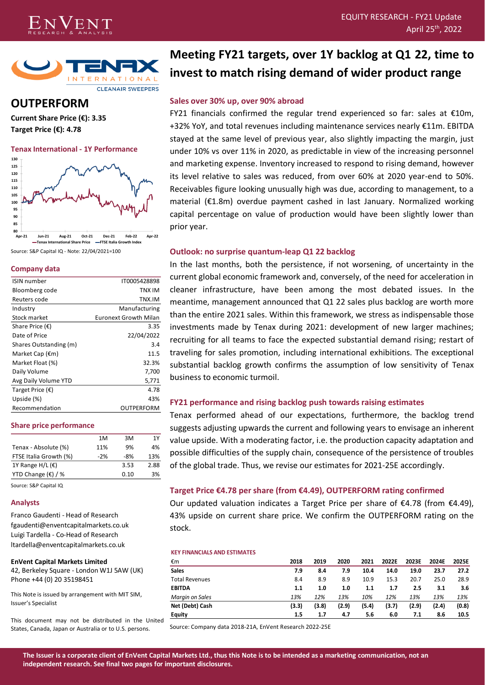



# **OUTPERFORM**

**Current Share Price (€): 3.35 Target Price (€): 4.78**

**Tenax International - 1Y Performance 130**



**Tenax International Share Price FTSE Italia Growth Index** Source: S&P Capital IQ - Note: 22/04/2021=100

#### **Company data**

| <b>ISIN</b> number        | IT0005428898                 |
|---------------------------|------------------------------|
| Bloomberg code            | TNX IM                       |
| Reuters code              | TNX.IM                       |
| Industry                  | Manufacturing                |
| Stock market              | <b>Euronext Growth Milan</b> |
| Share Price $(\epsilon)$  | 3.35                         |
| Date of Price             | 22/04/2022                   |
| Shares Outstanding (m)    | 3.4                          |
| Market Cap $(\epsilon m)$ | 11.5                         |
| Market Float (%)          | 32.3%                        |
| Daily Volume              | 7,700                        |
| Avg Daily Volume YTD      | 5,771                        |
| Target Price (€)          | 4.78                         |
| Upside (%)                | 43%                          |
| Recommendation            | OUTPERFORM                   |
|                           |                              |

#### **Share price performance**

| 1M    | 3M   | 1Υ   |
|-------|------|------|
| 11%   | 9%   | 4%   |
| $-2%$ | -8%  | 13%  |
|       | 3.53 | 2.88 |
|       | 0.10 | 3%   |
|       |      |      |

Source: S&P Capital IQ

#### **Analysts**

Franco Gaudenti - Head of Research fgaudenti@enventcapitalmarkets.co.uk Luigi Tardella - Co-Head of Research ltardella@enventcapitalmarkets.co.uk

#### **EnVent Capital Markets Limited**

42, Berkeley Square - London W1J 5AW (UK) Phone +44 (0) 20 35198451

This Note is issued by arrangement with MIT SIM, Issuer's Specialist

This document may not be distributed in the United States, Canada, Japan or Australia or to U.S. persons.

# **Meeting FY21 targets, over 1Y backlog at Q1 22, time to invest to match rising demand of wider product range**

# **Sales over 30% up, over 90% abroad**

FY21 financials confirmed the regular trend experienced so far: sales at €10m, +32% YoY, and total revenues including maintenance services nearly €11m. EBITDA stayed at the same level of previous year, also slightly impacting the margin, just under 10% vs over 11% in 2020, as predictable in view of the increasing personnel and marketing expense. Inventory increased to respond to rising demand, however its level relative to sales was reduced, from over 60% at 2020 year-end to 50%. Receivables figure looking unusually high was due, according to management, to a material (€1.8m) overdue payment cashed in last January. Normalized working capital percentage on value of production would have been slightly lower than prior year.

## **Outlook: no surprise quantum-leap Q1 22 backlog**

In the last months, both the persistence, if not worsening, of uncertainty in the current global economic framework and, conversely, of the need for acceleration in cleaner infrastructure, have been among the most debated issues. In the meantime, management announced that Q1 22 sales plus backlog are worth more than the entire 2021 sales. Within this framework, we stress as indispensable those investments made by Tenax during 2021: development of new larger machines; recruiting for all teams to face the expected substantial demand rising; restart of traveling for sales promotion, including international exhibitions. The exceptional substantial backlog growth confirms the assumption of low sensitivity of Tenax business to economic turmoil.

# **FY21 performance and rising backlog push towards raising estimates**

Tenax performed ahead of our expectations, furthermore, the backlog trend suggests adjusting upwards the current and following years to envisage an inherent value upside. With a moderating factor, i.e. the production capacity adaptation and possible difficulties of the supply chain, consequence of the persistence of troubles of the global trade. Thus, we revise our estimates for 2021-25E accordingly.

# **Target Price €4.78 per share (from €4.49), OUTPERFORM rating confirmed**

Our updated valuation indicates a Target Price per share of  $\epsilon$ 4.78 (from  $\epsilon$ 4.49), 43% upside on current share price. We confirm the OUTPERFORM rating on the stock.

#### **KEY FINANCIALS AND ESTIMATES**

| €m                    | 2018  | 2019  | 2020  | 2021  | 2022E | 2023E | 2024E | 2025E |
|-----------------------|-------|-------|-------|-------|-------|-------|-------|-------|
| <b>Sales</b>          | 7.9   | 8.4   | 7.9   | 10.4  | 14.0  | 19.0  | 23.7  | 27.2  |
| <b>Total Revenues</b> | 8.4   | 8.9   | 8.9   | 10.9  | 15.3  | 20.7  | 25.0  | 28.9  |
| <b>EBITDA</b>         | 1.1   | 1.0   | 1.0   | 1.1   | 1.7   | 2.5   | 3.1   | 3.6   |
| Margin on Sales       | 13%   | 12%   | 13%   | 10%   | 12%   | 13%   | 13%   | 13%   |
| Net (Debt) Cash       | (3.3) | (3.8) | (2.9) | (5.4) | (3.7) | (2.9) | (2.4) | (0.8) |
| <b>Equity</b>         | 1.5   | 1.7   | 4.7   | 5.6   | 6.0   | 7.1   | 8.6   | 10.5  |

Source: Company data 2018-21A, EnVent Research 2022-25E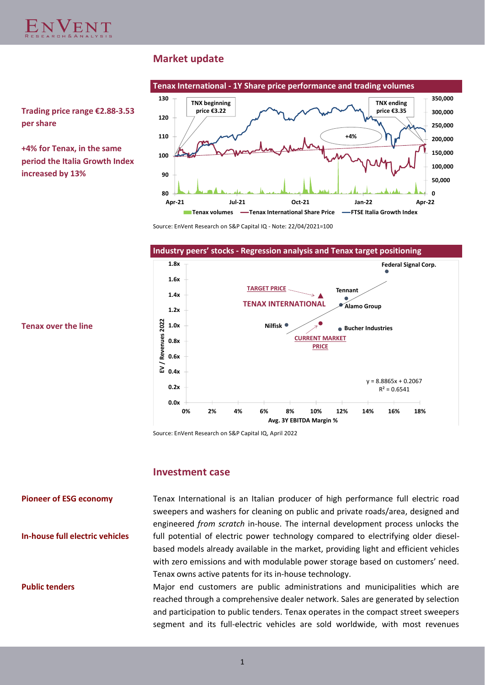

# **Market update**



**Trading price range €2.88-3.53 per share**

**+4% for Tenax, in the same period the Italia Growth Index increased by 13%**

Source: EnVent Research on S&P Capital IQ - Note: 22/04/2021=100



Source: EnVent Research on S&P Capital IQ, April 2022

# **Investment case**

# **Pioneer of ESG economy**

**In-house full electric vehicles**

#### **Public tenders**

Tenax International is an Italian producer of high performance full electric road sweepers and washers for cleaning on public and private roads/area, designed and engineered *from scratch* in-house. The internal development process unlocks the full potential of electric power technology compared to electrifying older dieselbased models already available in the market, providing light and efficient vehicles with zero emissions and with modulable power storage based on customers' need. Tenax owns active patents for its in-house technology.

Major end customers are public administrations and municipalities which are reached through a comprehensive dealer network. Sales are generated by selection and participation to public tenders. Tenax operates in the compact street sweepers segment and its full-electric vehicles are sold worldwide, with most revenues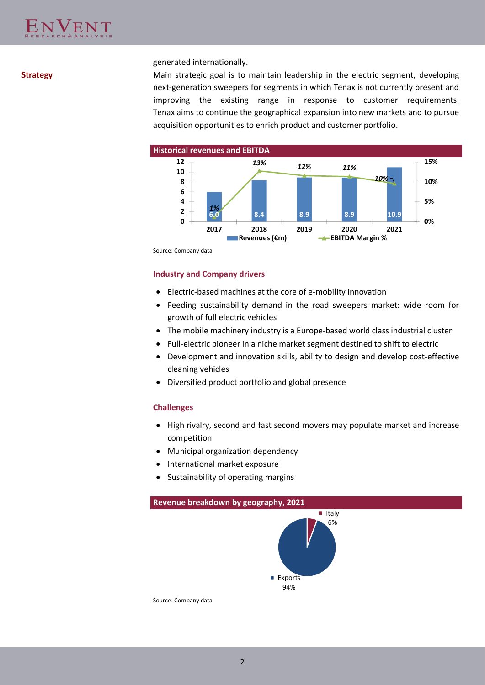# generated internationally.

**Strategy** Main strategic goal is to maintain leadership in the electric segment, developing next-generation sweepers for segments in which Tenax is not currently present and improving the existing range in response to customer requirements. Tenax aims to continue the geographical expansion into new markets and to pursue acquisition opportunities to enrich product and customer portfolio.



Source: Company data

## **Industry and Company drivers**

- Electric-based machines at the core of e-mobility innovation
- Feeding sustainability demand in the road sweepers market: wide room for growth of full electric vehicles
- The mobile machinery industry is a Europe-based world class industrial cluster
- Full-electric pioneer in a niche market segment destined to shift to electric
- Development and innovation skills, ability to design and develop cost-effective cleaning vehicles
- Diversified product portfolio and global presence

# **Challenges**

- High rivalry, second and fast second movers may populate market and increase competition
- Municipal organization dependency
- International market exposure
- Sustainability of operating margins





Source: Company data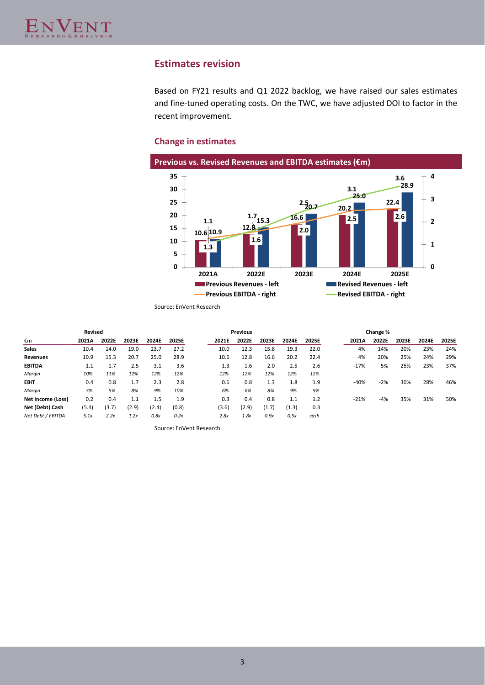# **Estimates revision**

Based on FY21 results and Q1 2022 backlog, we have raised our sales estimates and fine-tuned operating costs. On the TWC, we have adjusted DOI to factor in the recent improvement.

# **Change in estimates**



Source: EnVent Research

|                          | Revised |       |       |       |       |       | <b>Previous</b> |       |       |       |        | Change % |       |       |       |
|--------------------------|---------|-------|-------|-------|-------|-------|-----------------|-------|-------|-------|--------|----------|-------|-------|-------|
| €m                       | 2021A   | 2022E | 2023E | 2024E | 2025E | 2021E | 2022E           | 2023E | 2024E | 2025E | 2021A  | 2022E    | 2023E | 2024E | 2025E |
| <b>Sales</b>             | 10.4    | 14.0  | 19.0  | 23.7  | 27.2  | 10.0  | 12.3            | 15.8  | 19.3  | 22.0  | 4%     | 14%      | 20%   | 23%   | 24%   |
| <b>Revenues</b>          | 10.9    | 15.3  | 20.7  | 25.0  | 28.9  | 10.6  | 12.8            | 16.6  | 20.2  | 22.4  | 4%     | 20%      | 25%   | 24%   | 29%   |
| <b>EBITDA</b>            | 1.1     | 1.7   | 2.5   | 3.1   | 3.6   | 1.3   | 1.6             | 2.0   | 2.5   | 2.6   | $-17%$ | 5%       | 25%   | 23%   | 37%   |
| Margin                   | 10%     | 11%   | 12%   | 12%   | 12%   | 12%   | 12%             | 12%   | 12%   | 12%   |        |          |       |       |       |
| <b>EBIT</b>              | 0.4     | 0.8   | 1.7   | 2.3   | 2.8   | 0.6   | 0.8             | 1.3   | 1.8   | 1.9   | $-40%$ | $-2%$    | 30%   | 28%   | 46%   |
| Margin                   | 3%      | 5%    | 8%    | 9%    | 10%   | 6%    | 6%              | 8%    | 9%    | 9%    |        |          |       |       |       |
| <b>Net Income (Loss)</b> | 0.2     | 0.4   | 1.1   | 1.5   | 1.9   | 0.3   | 0.4             | 0.8   | 1.1   | 1.2   | $-21%$ | -4%      | 35%   | 31%   | 50%   |
| Net (Debt) Cash          | (5.4)   | (3.7) | (2.9) | (2.4) | (0.8) | (3.6) | (2.9)           | (1.7) | (1.3) | 0.3   |        |          |       |       |       |
| Net Debt / EBITDA        | 5.1x    | 2.2x  | 1.2x  | 0.8x  | 0.2x  | 2.8x  | 1.8x            | 0.9x  | 0.5x  | cash  |        |          |       |       |       |

Source: EnVent Research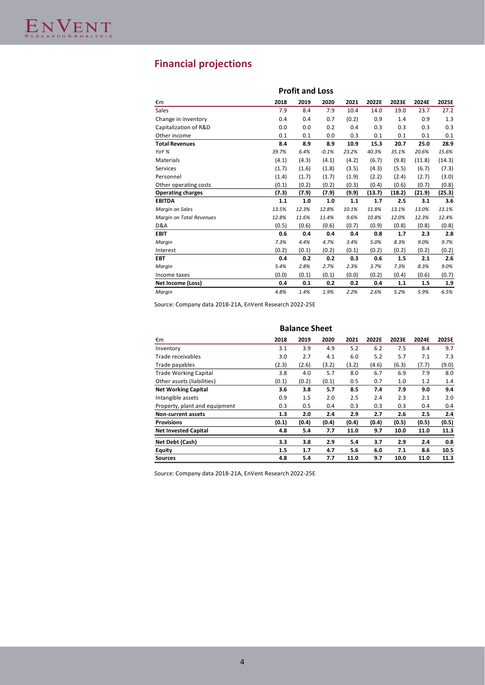# **Financial projections**

|                          |       | <b>Profit and Loss</b> |         |       |        |        |        |        |
|--------------------------|-------|------------------------|---------|-------|--------|--------|--------|--------|
| €m                       | 2018  | 2019                   | 2020    | 2021  | 2022E  | 2023E  | 2024E  | 2025E  |
| Sales                    | 7.9   | 8.4                    | 7.9     | 10.4  | 14.0   | 19.0   | 23.7   | 27.2   |
| Change in inventory      | 0.4   | 0.4                    | 0.7     | (0.2) | 0.9    | 1.4    | 0.9    | 1.3    |
| Capitalization of R&D    | 0.0   | 0.0                    | 0.2     | 0.4   | 0.3    | 0.3    | 0.3    | 0.3    |
| Other income             | 0.1   | 0.1                    | 0.0     | 0.3   | 0.1    | 0.1    | 0.1    | 0.1    |
| <b>Total Revenues</b>    | 8.4   | 8.9                    | 8.9     | 10.9  | 15.3   | 20.7   | 25.0   | 28.9   |
| YoY %                    | 39.7% | 6.4%                   | $-0.1%$ | 23.2% | 40.3%  | 35.1%  | 20.6%  | 15.6%  |
| <b>Materials</b>         | (4.1) | (4.3)                  | (4.1)   | (4.2) | (6.7)  | (9.8)  | (11.8) | (14.3) |
| Services                 | (1.7) | (1.6)                  | (1.8)   | (3.5) | (4.3)  | (5.5)  | (6.7)  | (7.3)  |
| Personnel                | (1.4) | (1.7)                  | (1.7)   | (1.9) | (2.2)  | (2.4)  | (2.7)  | (3.0)  |
| Other operating costs    | (0.1) | (0.2)                  | (0.2)   | (0.3) | (0.4)  | (0.6)  | (0.7)  | (0.8)  |
| <b>Operating charges</b> | (7.3) | (7.9)                  | (7.9)   | (9.9) | (13.7) | (18.2) | (21.9) | (25.3) |
| <b>EBITDA</b>            | 1.1   | 1.0                    | 1.0     | 1.1   | 1.7    | 2.5    | 3.1    | 3.6    |
| Margin on Sales          | 13.5% | 12.3%                  | 12.8%   | 10.1% | 11.8%  | 13.1%  | 13.0%  | 13.1%  |
| Margin on Total Revenues | 12.8% | 11.6%                  | 11.4%   | 9.6%  | 10.8%  | 12.0%  | 12.3%  | 12.4%  |
| D&A                      | (0.5) | (0.6)                  | (0.6)   | (0.7) | (0.9)  | (0.8)  | (0.8)  | (0.8)  |
| <b>EBIT</b>              | 0.6   | 0.4                    | 0.4     | 0.4   | 0.8    | 1.7    | 2.3    | 2.8    |
| Margin                   | 7.3%  | 4.4%                   | 4.7%    | 3.4%  | 5.0%   | 8.3%   | 9.0%   | 9.7%   |
| Interest                 | (0.2) | (0.1)                  | (0.2)   | (0.1) | (0.2)  | (0.2)  | (0.2)  | (0.2)  |
| <b>EBT</b>               | 0.4   | 0.2                    | 0.2     | 0.3   | 0.6    | 1.5    | 2.1    | 2.6    |
| Margin                   | 5.4%  | 2.8%                   | 2.7%    | 2.3%  | 3.7%   | 7.3%   | 8.3%   | 9.0%   |
| Income taxes             | (0.0) | (0.1)                  | (0.1)   | (0.0) | (0.2)  | (0.4)  | (0.6)  | (0.7)  |
| Net Income (Loss)        | 0.4   | 0.1                    | 0.2     | 0.2   | 0.4    | 1.1    | 1.5    | 1.9    |
| Margin                   | 4.8%  | 1.4%                   | 1.9%    | 2.2%  | 2.6%   | 5.2%   | 5.9%   | 6.5%   |

Source: Company data 2018-21A, EnVent Research 2022-25E

|                               | <b>Balance Sheet</b> |       |       |       |       |       |       |       |  |  |  |  |  |
|-------------------------------|----------------------|-------|-------|-------|-------|-------|-------|-------|--|--|--|--|--|
| €m                            | 2018                 | 2019  | 2020  | 2021  | 2022E | 2023E | 2024E | 2025E |  |  |  |  |  |
| Inventory                     | 3.1                  | 3.9   | 4.9   | 5.2   | 6.2   | 7.5   | 8.4   | 9.7   |  |  |  |  |  |
| Trade receivables             | 3.0                  | 2.7   | 4.1   | 6.0   | 5.2   | 5.7   | 7.1   | 7.3   |  |  |  |  |  |
| Trade payables                | (2.3)                | (2.6) | (3.2) | (3.2) | (4.6) | (6.3) | (7.7) | (9.0) |  |  |  |  |  |
| <b>Trade Working Capital</b>  | 3.8                  | 4.0   | 5.7   | 8.0   | 6.7   | 6.9   | 7.9   | 8.0   |  |  |  |  |  |
| Other assets (liabilities)    | (0.1)                | (0.2) | (0.1) | 0.5   | 0.7   | 1.0   | 1.2   | 1.4   |  |  |  |  |  |
| <b>Net Working Capital</b>    | 3.6                  | 3.8   | 5.7   | 8.5   | 7.4   | 7.9   | 9.0   | 9.4   |  |  |  |  |  |
| Intangible assets             | 0.9                  | 1.5   | 2.0   | 2.5   | 2.4   | 2.3   | 2.1   | 2.0   |  |  |  |  |  |
| Property, plant and equipment | 0.3                  | 0.5   | 0.4   | 0.3   | 0.3   | 0.3   | 0.4   | 0.4   |  |  |  |  |  |
| <b>Non-current assets</b>     | 1.3                  | 2.0   | 2.4   | 2.9   | 2.7   | 2.6   | 2.5   | 2.4   |  |  |  |  |  |
| <b>Provisions</b>             | (0.1)                | (0.4) | (0.4) | (0.4) | (0.4) | (0.5) | (0.5) | (0.5) |  |  |  |  |  |
| <b>Net Invested Capital</b>   | 4.8                  | 5.4   | 7.7   | 11.0  | 9.7   | 10.0  | 11.0  | 11.3  |  |  |  |  |  |
| Net Debt (Cash)               | 3.3                  | 3.8   | 2.9   | 5.4   | 3.7   | 2.9   | 2.4   | 0.8   |  |  |  |  |  |
| Equity                        | 1.5                  | 1.7   | 4.7   | 5.6   | 6.0   | 7.1   | 8.6   | 10.5  |  |  |  |  |  |
| Sources                       | 4.8                  | 5.4   | 7.7   | 11.0  | 9.7   | 10.0  | 11.0  | 11.3  |  |  |  |  |  |

Source: Company data 2018-21A, EnVent Research 2022-25E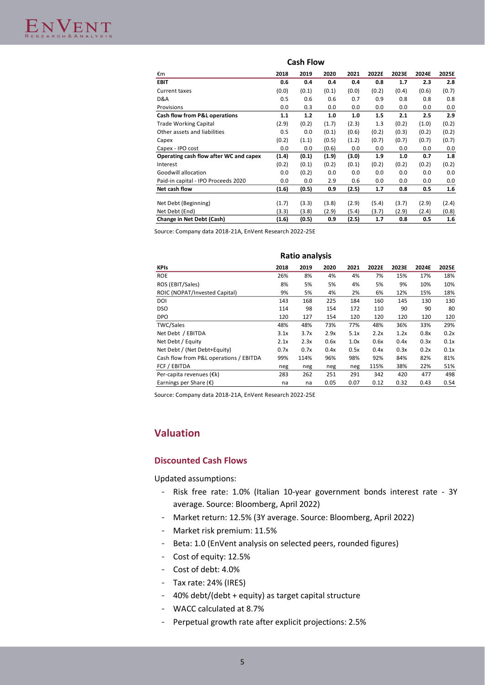#### **Cash Flow** €m **2018 2019 2020 2021 2022E 2023E 2024E 2025E EBIT 0.6 0.4 0.4 0.4 0.8 1.7 2.3 2.8** Current taxes (0.0) (0.1) (0.1) (0.0) (0.2) (0.4) (0.6) (0.7) D&A 0.5 0.6 0.6 0.7 0.9 0.8 0.8 0.8 Provisions 0.0 0.3 0.0 0.0 0.0 0.0 0.0 0.0 **Cash flow from P&L operations 1.1 1.2 1.0 1.0 1.5 2.1 2.5 2.9** Trade Working Capital (2.9) (0.2) (1.7) (2.3) 1.3 (0.2) (1.0) (0.2) Other assets and liabilities 0.5 0.0 (0.1) (0.6) (0.2) (0.2) (0.2) (0.2) (0.2) Capex (0.2) (1.1) (0.5) (1.2) (0.7) (0.7) (0.7) (0.7) Capex - IPO cost 0.0 0.0 (0.6) 0.0 0.0 0.0 0.0 0.0 **Operating cash flow after WC and capex (1.4) (0.1) (1.9) (3.0) 1.9 1.0 0.7 1.8** Interest (0.2) (0.1) (0.2) (0.1) (0.2) (0.2) (0.2) (0.2) Goodwill allocation **0.0** (0.2) 0.0 0.0 0.0 0.0 0.0 0.0 0.0 Paid-in capital - IPO Proceeds 2020 0.0 0.0 2.9 0.6 0.0 0.0 0.0 0.0 **Net cash flow (1.6) (0.5) 0.9 (2.5) 1.7 0.8 0.5 1.6** Net Debt (Beginning) (1.7) (3.3) (3.8) (2.9) (5.4) (3.7) (2.9) (2.4) Net Debt (End) (3.3) (3.8) (2.9) (5.4) (3.7) (2.9) (2.4) (0.8) **Change in Net Debt (Cash) (1.6) (0.5) 0.9 (2.5) 1.7 0.8 0.5 1.6**

Source: Company data 2018-21A, EnVent Research 2022-25E

|                                        |      | <b>Ratio analysis</b> |      |      |       |       |       |       |
|----------------------------------------|------|-----------------------|------|------|-------|-------|-------|-------|
| <b>KPIs</b>                            | 2018 | 2019                  | 2020 | 2021 | 2022E | 2023E | 2024E | 2025E |
| <b>ROE</b>                             | 26%  | 8%                    | 4%   | 4%   | 7%    | 15%   | 17%   | 18%   |
| ROS (EBIT/Sales)                       | 8%   | 5%                    | 5%   | 4%   | 5%    | 9%    | 10%   | 10%   |
| ROIC (NOPAT/Invested Capital)          | 9%   | 5%                    | 4%   | 2%   | 6%    | 12%   | 15%   | 18%   |
| DOI                                    | 143  | 168                   | 225  | 184  | 160   | 145   | 130   | 130   |
| <b>DSO</b>                             | 114  | 98                    | 154  | 172  | 110   | 90    | 90    | 80    |
| <b>DPO</b>                             | 120  | 127                   | 154  | 120  | 120   | 120   | 120   | 120   |
| <b>TWC/Sales</b>                       | 48%  | 48%                   | 73%  | 77%  | 48%   | 36%   | 33%   | 29%   |
| Net Debt / EBITDA                      | 3.1x | 3.7x                  | 2.9x | 5.1x | 2.2x  | 1.2x  | 0.8x  | 0.2x  |
| Net Debt / Equity                      | 2.1x | 2.3x                  | 0.6x | 1.0x | 0.6x  | 0.4x  | 0.3x  | 0.1x  |
| Net Debt / (Net Debt+Equity)           | 0.7x | 0.7x                  | 0.4x | 0.5x | 0.4x  | 0.3x  | 0.2x  | 0.1x  |
| Cash flow from P&L operations / EBITDA | 99%  | 114%                  | 96%  | 98%  | 92%   | 84%   | 82%   | 81%   |
| FCF / EBITDA                           | neg  | neg                   | neg  | neg  | 115%  | 38%   | 22%   | 51%   |
| Per-capita revenues (€k)               | 283  | 262                   | 251  | 291  | 342   | 420   | 477   | 498   |
| Earnings per Share $(\epsilon)$        | na   | na                    | 0.05 | 0.07 | 0.12  | 0.32  | 0.43  | 0.54  |

Source: Company data 2018-21A, EnVent Research 2022-25E

# **Valuation**

# **Discounted Cash Flows**

Updated assumptions:

- Risk free rate: 1.0% (Italian 10-year government bonds interest rate 3Y average. Source: Bloomberg, April 2022)
- Market return: 12.5% (3Y average. Source: Bloomberg, April 2022)
- Market risk premium: 11.5%
- Beta: 1.0 (EnVent analysis on selected peers, rounded figures)
- Cost of equity: 12.5%
- Cost of debt: 4.0%
- Tax rate: 24% (IRES)
- 40% debt/(debt + equity) as target capital structure
- WACC calculated at 8.7%
- Perpetual growth rate after explicit projections: 2.5%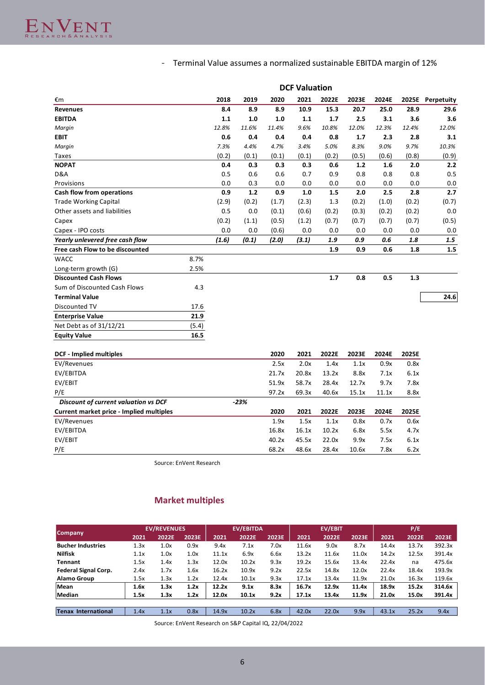# - Terminal Value assumes a normalized sustainable EBITDA margin of 12%

|                                          |       |       |        |       | <b>DCF Valuation</b> |       |       |       |       |                  |
|------------------------------------------|-------|-------|--------|-------|----------------------|-------|-------|-------|-------|------------------|
| €m                                       |       | 2018  | 2019   | 2020  | 2021                 | 2022E | 2023E | 2024E |       | 2025E Perpetuity |
| <b>Revenues</b>                          |       | 8.4   | 8.9    | 8.9   | 10.9                 | 15.3  | 20.7  | 25.0  | 28.9  | 29.6             |
| <b>EBITDA</b>                            |       | 1.1   | 1.0    | 1.0   | 1.1                  | 1.7   | 2.5   | 3.1   | 3.6   | 3.6              |
| Margin                                   |       | 12.8% | 11.6%  | 11.4% | 9.6%                 | 10.8% | 12.0% | 12.3% | 12.4% | 12.0%            |
| <b>EBIT</b>                              |       | 0.6   | 0.4    | 0.4   | 0.4                  | 0.8   | 1.7   | 2.3   | 2.8   | 3.1              |
| Margin                                   |       | 7.3%  | 4.4%   | 4.7%  | 3.4%                 | 5.0%  | 8.3%  | 9.0%  | 9.7%  | 10.3%            |
| <b>Taxes</b>                             |       | (0.2) | (0.1)  | (0.1) | (0.1)                | (0.2) | (0.5) | (0.6) | (0.8) | (0.9)            |
| <b>NOPAT</b>                             |       | 0.4   | 0.3    | 0.3   | 0.3                  | 0.6   | 1.2   | 1.6   | 2.0   | 2.2              |
| D&A                                      |       | 0.5   | 0.6    | 0.6   | 0.7                  | 0.9   | 0.8   | 0.8   | 0.8   | 0.5              |
| Provisions                               |       | 0.0   | 0.3    | 0.0   | 0.0                  | 0.0   | 0.0   | 0.0   | 0.0   | 0.0              |
| Cash flow from operations                |       | 0.9   | $1.2$  | 0.9   | $1.0\,$              | 1.5   | 2.0   | 2.5   | 2.8   | 2.7              |
| <b>Trade Working Capital</b>             |       | (2.9) | (0.2)  | (1.7) | (2.3)                | 1.3   | (0.2) | (1.0) | (0.2) | (0.7)            |
| Other assets and liabilities             |       | 0.5   | 0.0    | (0.1) | (0.6)                | (0.2) | (0.3) | (0.2) | (0.2) | $0.0\,$          |
| Capex                                    |       | (0.2) | (1.1)  | (0.5) | (1.2)                | (0.7) | (0.7) | (0.7) | (0.7) | (0.5)            |
| Capex - IPO costs                        |       | 0.0   | 0.0    | (0.6) | 0.0                  | 0.0   | 0.0   | 0.0   | 0.0   | 0.0              |
| Yearly unlevered free cash flow          |       | (1.6) | (0.1)  | (2.0) | (3.1)                | 1.9   | 0.9   | 0.6   | 1.8   | 1.5              |
| Free cash Flow to be discounted          |       |       |        |       |                      | 1.9   | 0.9   | 0.6   | 1.8   | $1.5\,$          |
| <b>WACC</b>                              | 8.7%  |       |        |       |                      |       |       |       |       |                  |
| Long-term growth (G)                     | 2.5%  |       |        |       |                      |       |       |       |       |                  |
| <b>Discounted Cash Flows</b>             |       |       |        |       |                      | 1.7   | 0.8   | 0.5   | 1.3   |                  |
| Sum of Discounted Cash Flows             | 4.3   |       |        |       |                      |       |       |       |       |                  |
| <b>Terminal Value</b>                    |       |       |        |       |                      |       |       |       |       | 24.6             |
| Discounted TV                            | 17.6  |       |        |       |                      |       |       |       |       |                  |
| <b>Enterprise Value</b>                  | 21.9  |       |        |       |                      |       |       |       |       |                  |
| Net Debt as of 31/12/21                  | (5.4) |       |        |       |                      |       |       |       |       |                  |
| <b>Equity Value</b>                      | 16.5  |       |        |       |                      |       |       |       |       |                  |
|                                          |       |       |        |       |                      |       |       |       |       |                  |
| <b>DCF</b> - Implied multiples           |       |       |        | 2020  | 2021                 | 2022E | 2023E | 2024E | 2025E |                  |
| EV/Revenues                              |       |       |        | 2.5x  | 2.0x                 | 1.4x  | 1.1x  | 0.9x  | 0.8x  |                  |
| EV/EBITDA                                |       |       |        | 21.7x | 20.8x                | 13.2x | 8.8x  | 7.1x  | 6.1x  |                  |
| EV/EBIT                                  |       |       |        | 51.9x | 58.7x                | 28.4x | 12.7x | 9.7x  | 7.8x  |                  |
| P/E                                      |       |       |        | 97.2x | 69.3x                | 40.6x | 15.1x | 11.1x | 8.8x  |                  |
| Discount of current valuation vs DCF     |       |       | $-23%$ |       |                      |       |       |       |       |                  |
| Current market price - Implied multiples |       |       |        | 2020  | 2021                 | 2022E | 2023E | 2024E | 2025E |                  |
| EV/Revenues                              |       |       |        | 1.9x  | 1.5x                 | 1.1x  | 0.8x  | 0.7x  | 0.6x  |                  |
| EV/EBITDA                                |       |       |        | 16.8x | 16.1x                | 10.2x | 6.8x  | 5.5x  | 4.7x  |                  |
| EV/EBIT                                  |       |       |        | 40.2x | 45.5x                | 22.0x | 9.9x  | 7.5x  | 6.1x  |                  |
| P/E                                      |       |       |        | 68.2x | 48.6x                | 28.4x | 10.6x | 7.8x  | 6.2x  |                  |

Source: EnVent Research

# **Market multiples**

|                             | <b>EV/REVENUES</b> |       |       |       | <b>EV/EBITDA</b> |       |       | <b>EV/EBIT</b> |       | P/E   |       |        |
|-----------------------------|--------------------|-------|-------|-------|------------------|-------|-------|----------------|-------|-------|-------|--------|
| <b>Company</b>              | 2021               | 2022E | 2023E | 2021  | 2022E            | 2023E | 2021  | 2022E          | 2023E | 2021  | 2022E | 2023E  |
| <b>Bucher Industries</b>    | 1.3x               | 1.0x  | 0.9x  | 9.4x  | 7.1x             | 7.0x  | 11.6x | 9.0x           | 8.7x  | 14.4x | 13.7x | 392.3x |
| <b>Nilfisk</b>              | 1.1x               | 1.0x  | 1.0x  | 11.1x | 6.9x             | 6.6x  | 13.2x | 11.6x          | 11.0x | 14.2x | 12.5x | 391.4x |
| <b>Tennant</b>              | 1.5x               | 1.4x  | 1.3x  | 12.0x | 10.2x            | 9.3x  | 19.2x | 15.6x          | 13.4x | 22.4x | na    | 475.6x |
| <b>Federal Signal Corp.</b> | 2.4x               | 1.7x  | 1.6x  | 16.2x | 10.9x            | 9.2x  | 22.5x | 14.8x          | 12.0x | 22.4x | 18.4x | 193.9x |
| <b>Alamo Group</b>          | 1.5x               | 1.3x  | 1.2x  | 12.4x | 10.1x            | 9.3x  | 17.1x | 13.4x          | 11.9x | 21.0x | 16.3x | 119.6x |
| Mean                        | 1.6x               | 1.3x  | 1.2x  | 12.2x | 9.1x             | 8.3x  | 16.7x | 12.9x          | 11.4x | 18.9x | 15.2x | 314.6x |
| <b>Median</b>               | 1.5x               | 1.3x  | 1.2x  | 12.0x | 10.1x            | 9.2x  | 17.1x | 13.4x          | 11.9x | 21.0x | 15.0x | 391.4x |
|                             |                    |       |       |       |                  |       |       |                |       |       |       |        |
| <b>Tenax International</b>  | 1.4x               | 1.1x  | 0.8x  | 14.9x | 10.2x            | 6.8x  | 42.0x | 22.0x          | 9.9x  | 43.1x | 25.2x | 9.4x   |

Source: EnVent Research on S&P Capital IQ, 22/04/2022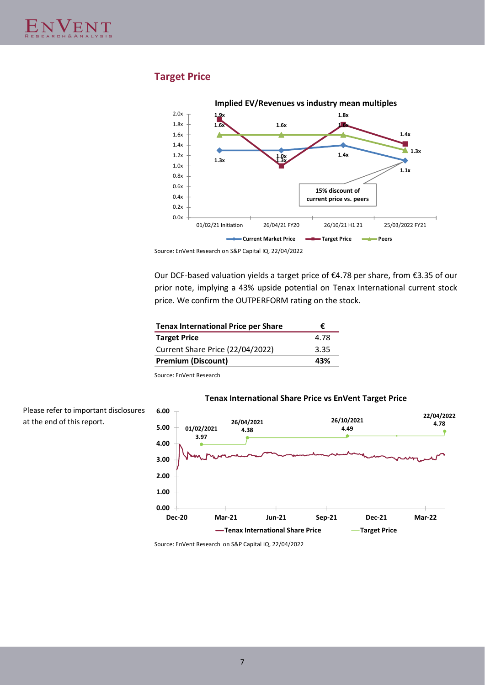# **Target Price**



Source: EnVent Research on S&P Capital IQ, 22/04/2022

Our DCF-based valuation yields a target price of €4.78 per share, from €3.35 of our prior note, implying a 43% upside potential on Tenax International current stock price. We confirm the OUTPERFORM rating on the stock.

| ŧ.   |
|------|
| 4.78 |
| 3.35 |
| 43%  |
|      |

Source: EnVent Research

# **Tenax International Share Price vs EnVent Target Price**

Please refer to important disclosures at the end of this report.



Source: EnVent Research on S&P Capital IQ, 22/04/2022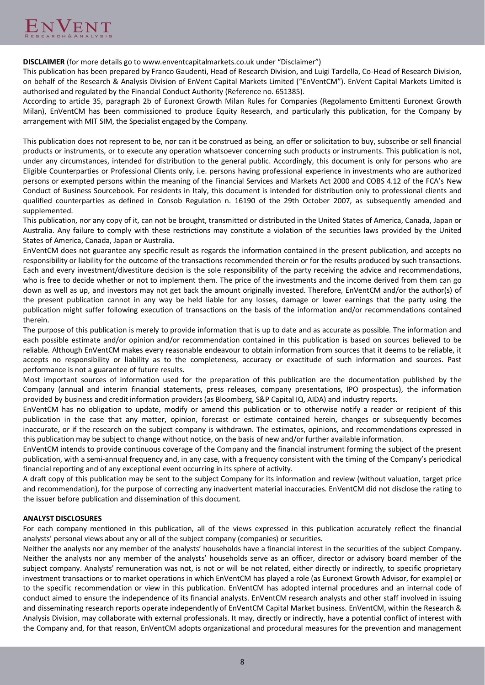**DISCLAIMER** (for more details go to www.enventcapitalmarkets.co.uk under "Disclaimer")

This publication has been prepared by Franco Gaudenti, Head of Research Division, and Luigi Tardella, Co-Head of Research Division, on behalf of the Research & Analysis Division of EnVent Capital Markets Limited ("EnVentCM"). EnVent Capital Markets Limited is authorised and regulated by the Financial Conduct Authority (Reference no. 651385).

According to article 35, paragraph 2b of Euronext Growth Milan Rules for Companies (Regolamento Emittenti Euronext Growth Milan), EnVentCM has been commissioned to produce Equity Research, and particularly this publication, for the Company by arrangement with MIT SIM, the Specialist engaged by the Company.

This publication does not represent to be, nor can it be construed as being, an offer or solicitation to buy, subscribe or sell financial products or instruments, or to execute any operation whatsoever concerning such products or instruments. This publication is not, under any circumstances, intended for distribution to the general public. Accordingly, this document is only for persons who are Eligible Counterparties or Professional Clients only, i.e. persons having professional experience in investments who are authorized persons or exempted persons within the meaning of the Financial Services and Markets Act 2000 and COBS 4.12 of the FCA's New Conduct of Business Sourcebook. For residents in Italy, this document is intended for distribution only to professional clients and qualified counterparties as defined in Consob Regulation n. 16190 of the 29th October 2007, as subsequently amended and supplemented.

This publication, nor any copy of it, can not be brought, transmitted or distributed in the United States of America, Canada, Japan or Australia. Any failure to comply with these restrictions may constitute a violation of the securities laws provided by the United States of America, Canada, Japan or Australia.

EnVentCM does not guarantee any specific result as regards the information contained in the present publication, and accepts no responsibility or liability for the outcome of the transactions recommended therein or for the results produced by such transactions. Each and every investment/divestiture decision is the sole responsibility of the party receiving the advice and recommendations, who is free to decide whether or not to implement them. The price of the investments and the income derived from them can go down as well as up, and investors may not get back the amount originally invested. Therefore, EnVentCM and/or the author(s) of the present publication cannot in any way be held liable for any losses, damage or lower earnings that the party using the publication might suffer following execution of transactions on the basis of the information and/or recommendations contained therein.

The purpose of this publication is merely to provide information that is up to date and as accurate as possible. The information and each possible estimate and/or opinion and/or recommendation contained in this publication is based on sources believed to be reliable. Although EnVentCM makes every reasonable endeavour to obtain information from sources that it deems to be reliable, it accepts no responsibility or liability as to the completeness, accuracy or exactitude of such information and sources. Past performance is not a guarantee of future results.

Most important sources of information used for the preparation of this publication are the documentation published by the Company (annual and interim financial statements, press releases, company presentations, IPO prospectus), the information provided by business and credit information providers (as Bloomberg, S&P Capital IQ, AIDA) and industry reports.

EnVentCM has no obligation to update, modify or amend this publication or to otherwise notify a reader or recipient of this publication in the case that any matter, opinion, forecast or estimate contained herein, changes or subsequently becomes inaccurate, or if the research on the subject company is withdrawn. The estimates, opinions, and recommendations expressed in this publication may be subject to change without notice, on the basis of new and/or further available information.

EnVentCM intends to provide continuous coverage of the Company and the financial instrument forming the subject of the present publication, with a semi-annual frequency and, in any case, with a frequency consistent with the timing of the Company's periodical financial reporting and of any exceptional event occurring in its sphere of activity.

A draft copy of this publication may be sent to the subject Company for its information and review (without valuation, target price and recommendation), for the purpose of correcting any inadvertent material inaccuracies. EnVentCM did not disclose the rating to the issuer before publication and dissemination of this document.

# **ANALYST DISCLOSURES**

For each company mentioned in this publication, all of the views expressed in this publication accurately reflect the financial analysts' personal views about any or all of the subject company (companies) or securities.

Neither the analysts nor any member of the analysts' households have a financial interest in the securities of the subject Company. Neither the analysts nor any member of the analysts' households serve as an officer, director or advisory board member of the subject company. Analysts' remuneration was not, is not or will be not related, either directly or indirectly, to specific proprietary investment transactions or to market operations in which EnVentCM has played a role (as Euronext Growth Advisor, for example) or to the specific recommendation or view in this publication. EnVentCM has adopted internal procedures and an internal code of conduct aimed to ensure the independence of its financial analysts. EnVentCM research analysts and other staff involved in issuing and disseminating research reports operate independently of EnVentCM Capital Market business. EnVentCM, within the Research & Analysis Division, may collaborate with external professionals. It may, directly or indirectly, have a potential conflict of interest with the Company and, for that reason, EnVentCM adopts organizational and procedural measures for the prevention and management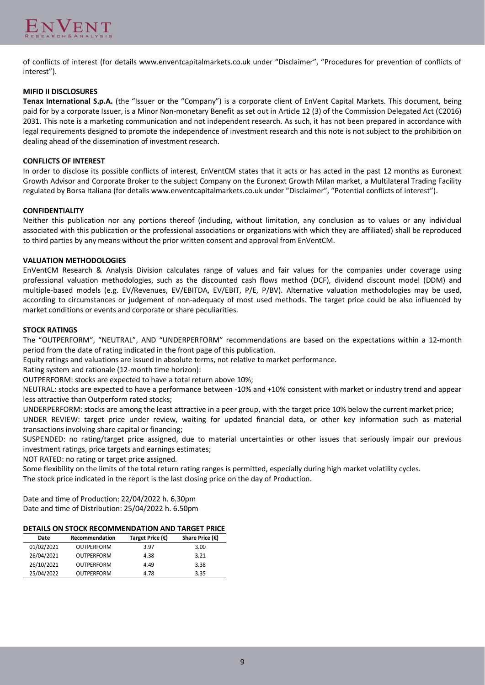of conflicts of interest (for details www.enventcapitalmarkets.co.uk under "Disclaimer", "Procedures for prevention of conflicts of interest").

## **MIFID II DISCLOSURES**

Tenax International S.p.A. (the "Issuer or the "Company") is a corporate client of EnVent Capital Markets. This document, being paid for by a corporate Issuer, is a Minor Non-monetary Benefit as set out in Article 12 (3) of the Commission Delegated Act (C2016) 2031. This note is a marketing communication and not independent research. As such, it has not been prepared in accordance with legal requirements designed to promote the independence of investment research and this note is not subject to the prohibition on dealing ahead of the dissemination of investment research.

#### **CONFLICTS OF INTEREST**

In order to disclose its possible conflicts of interest, EnVentCM states that it acts or has acted in the past 12 months as Euronext Growth Advisor and Corporate Broker to the subject Company on the Euronext Growth Milan market, a Multilateral Trading Facility regulated by Borsa Italiana (for details www.enventcapitalmarkets.co.uk under "Disclaimer", "Potential conflicts of interest").

## **CONFIDENTIALITY**

Neither this publication nor any portions thereof (including, without limitation, any conclusion as to values or any individual associated with this publication or the professional associations or organizations with which they are affiliated) shall be reproduced to third parties by any means without the prior written consent and approval from EnVentCM.

## **VALUATION METHODOLOGIES**

EnVentCM Research & Analysis Division calculates range of values and fair values for the companies under coverage using professional valuation methodologies, such as the discounted cash flows method (DCF), dividend discount model (DDM) and multiple-based models (e.g. EV/Revenues, EV/EBITDA, EV/EBIT, P/E, P/BV). Alternative valuation methodologies may be used, according to circumstances or judgement of non-adequacy of most used methods. The target price could be also influenced by market conditions or events and corporate or share peculiarities.

## **STOCK RATINGS**

The "OUTPERFORM", "NEUTRAL", AND "UNDERPERFORM" recommendations are based on the expectations within a 12-month period from the date of rating indicated in the front page of this publication.

Equity ratings and valuations are issued in absolute terms, not relative to market performance.

Rating system and rationale (12-month time horizon):

OUTPERFORM: stocks are expected to have a total return above 10%;

NEUTRAL: stocks are expected to have a performance between -10% and +10% consistent with market or industry trend and appear less attractive than Outperform rated stocks;

UNDERPERFORM: stocks are among the least attractive in a peer group, with the target price 10% below the current market price; UNDER REVIEW: target price under review, waiting for updated financial data, or other key information such as material

transactions involving share capital or financing;

SUSPENDED: no rating/target price assigned, due to material uncertainties or other issues that seriously impair our previous investment ratings, price targets and earnings estimates;

NOT RATED: no rating or target price assigned.

Some flexibility on the limits of the total return rating ranges is permitted, especially during high market volatility cycles.

The stock price indicated in the report is the last closing price on the day of Production.

Date and time of Production: 22/04/2022 h. 6.30pm Date and time of Distribution: 25/04/2022 h. 6.50pm

# **DETAILS ON STOCK RECOMMENDATION AND TARGET PRICE**

| Date       | Recommendation    | Target Price (€) | Share Price $(\epsilon)$ |
|------------|-------------------|------------------|--------------------------|
| 01/02/2021 | OUTPERFORM        | 3.97             | 3.00                     |
| 26/04/2021 | <b>OUTPERFORM</b> | 4.38             | 3.21                     |
| 26/10/2021 | OUTPERFORM        | 4.49             | 3.38                     |
| 25/04/2022 | <b>OUTPERFORM</b> | 4.78             | 3.35                     |